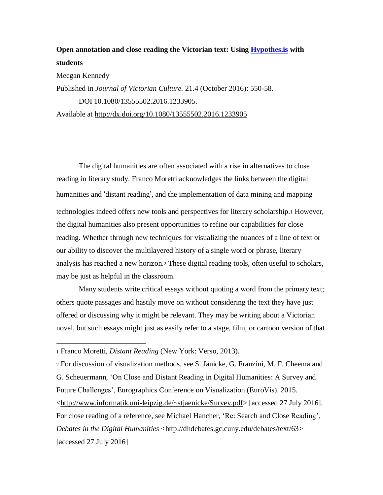**Open annotation and close reading the Victorian text: Using [Hypothes.is](http://hypothes.is/) with students**

Meegan Kennedy

 $\overline{a}$ 

Published in *Journal of Victorian Culture.* 21.4 (October 2016): 550-58. DOI 10.1080/13555502.2016.1233905. Available at<http://dx.doi.org/10.1080/13555502.2016.1233905>

The digital humanities are often associated with a rise in alternatives to close reading in literary study. Franco Moretti acknowledges the links between the digital humanities and 'distant reading', and the implementation of data mining and mapping technologies indeed offers new tools and perspectives for literary scholarship.<sup>1</sup> However, the digital humanities also present opportunities to refine our capabilities for close reading. Whether through new techniques for visualizing the nuances of a line of text or our ability to discover the multilayered history of a single word or phrase, literary analysis has reached a new horizon.<sup>2</sup> These digital reading tools, often useful to scholars, may be just as helpful in the classroom.

Many students write critical essays without quoting a word from the primary text; others quote passages and hastily move on without considering the text they have just offered or discussing why it might be relevant. They may be writing about a Victorian novel, but such essays might just as easily refer to a stage, film, or cartoon version of that

<sup>2</sup> For discussion of visualization methods, see S. Jänicke, G. Franzini, M. F. Cheema and G. Scheuermann, 'On Close and Distant Reading in Digital Humanities: A Survey and Future Challenges', Eurographics Conference on Visualization (EuroVis). 2015. [<http://www.informatik.uni-leipzig.de/~stjaenicke/Survey.pdf>](http://www.informatik.uni-leipzig.de/~stjaenicke/Survey.pdf) [accessed 27 July 2016]. For close reading of a reference, see Michael Hancher, 'Re: Search and Close Reading', *Debates in the Digital Humanities* [<http://dhdebates.gc.cuny.edu/debates/text/63>](http://dhdebates.gc.cuny.edu/debates/text/63) [accessed 27 July 2016]

<sup>1</sup> Franco Moretti, *Distant Reading* (New York: Verso, 2013).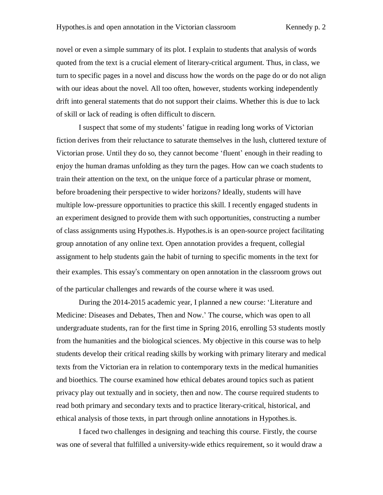novel or even a simple summary of its plot. I explain to students that analysis of words quoted from the text is a crucial element of literary-critical argument. Thus, in class, we turn to specific pages in a novel and discuss how the words on the page do or do not align with our ideas about the novel. All too often, however, students working independently drift into general statements that do not support their claims. Whether this is due to lack of skill or lack of reading is often difficult to discern.

I suspect that some of my students' fatigue in reading long works of Victorian fiction derives from their reluctance to saturate themselves in the lush, cluttered texture of Victorian prose. Until they do so, they cannot become 'fluent' enough in their reading to enjoy the human dramas unfolding as they turn the pages. How can we coach students to train their attention on the text, on the unique force of a particular phrase or moment, before broadening their perspective to wider horizons? Ideally, students will have multiple low-pressure opportunities to practice this skill. I recently engaged students in an experiment designed to provide them with such opportunities, constructing a number of class assignments using Hypothes.is. Hypothes.is is an open-source project facilitating group annotation of any online text. Open annotation provides a frequent, collegial assignment to help students gain the habit of turning to specific moments in the text for their examples. This essay's commentary on open annotation in the classroom grows out of the particular challenges and rewards of the course where it was used.

During the 2014-2015 academic year, I planned a new course: 'Literature and Medicine: Diseases and Debates, Then and Now.' The course, which was open to all undergraduate students, ran for the first time in Spring 2016, enrolling 53 students mostly from the humanities and the biological sciences. My objective in this course was to help students develop their critical reading skills by working with primary literary and medical texts from the Victorian era in relation to contemporary texts in the medical humanities and bioethics. The course examined how ethical debates around topics such as patient privacy play out textually and in society, then and now. The course required students to read both primary and secondary texts and to practice literary-critical, historical, and ethical analysis of those texts, in part through online annotations in Hypothes.is.

I faced two challenges in designing and teaching this course. Firstly, the course was one of several that fulfilled a university-wide ethics requirement, so it would draw a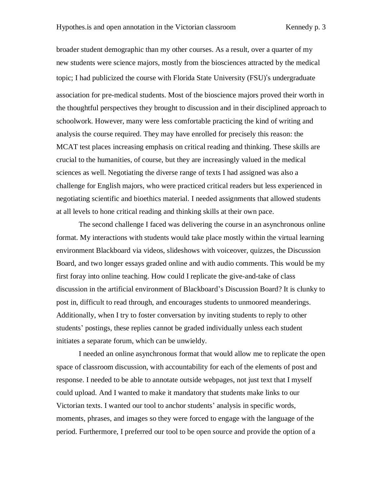broader student demographic than my other courses. As a result, over a quarter of my new students were science majors, mostly from the biosciences attracted by the medical topic; I had publicized the course with Florida State University (FSU)'s undergraduate association for pre-medical students. Most of the bioscience majors proved their worth in the thoughtful perspectives they brought to discussion and in their disciplined approach to schoolwork. However, many were less comfortable practicing the kind of writing and analysis the course required. They may have enrolled for precisely this reason: the MCAT test places increasing emphasis on critical reading and thinking. These skills are crucial to the humanities, of course, but they are increasingly valued in the medical sciences as well. Negotiating the diverse range of texts I had assigned was also a challenge for English majors, who were practiced critical readers but less experienced in negotiating scientific and bioethics material. I needed assignments that allowed students at all levels to hone critical reading and thinking skills at their own pace.

The second challenge I faced was delivering the course in an asynchronous online format. My interactions with students would take place mostly within the virtual learning environment Blackboard via videos, slideshows with voiceover, quizzes, the Discussion Board, and two longer essays graded online and with audio comments. This would be my first foray into online teaching. How could I replicate the give-and-take of class discussion in the artificial environment of Blackboard's Discussion Board? It is clunky to post in, difficult to read through, and encourages students to unmoored meanderings. Additionally, when I try to foster conversation by inviting students to reply to other students' postings, these replies cannot be graded individually unless each student initiates a separate forum, which can be unwieldy.

I needed an online asynchronous format that would allow me to replicate the open space of classroom discussion, with accountability for each of the elements of post and response. I needed to be able to annotate outside webpages, not just text that I myself could upload. And I wanted to make it mandatory that students make links to our Victorian texts. I wanted our tool to anchor students' analysis in specific words, moments, phrases, and images so they were forced to engage with the language of the period. Furthermore, I preferred our tool to be open source and provide the option of a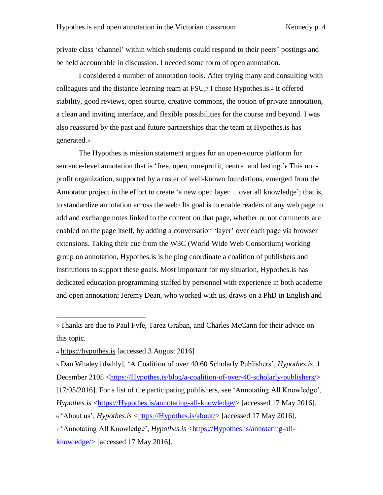private class 'channel' within which students could respond to their peers' postings and be held accountable in discussion. I needed some form of open annotation.

I considered a number of annotation tools. After trying many and consulting with colleagues and the distance learning team at FSU,<sup>3</sup> I chose Hypothes.is.<sup>4</sup> It offered stability, good reviews, open source, creative commons, the option of private annotation, a clean and inviting interface, and flexible possibilities for the course and beyond. I was also reassured by the past and future partnerships that the team at Hypothes.is has generated.<sup>5</sup>

The Hypothes.is mission statement argues for an open-source platform for sentence-level annotation that is 'free, open, non-profit, neutral and lasting.'<sup>6</sup> This nonprofit organization, supported by a roster of well-known foundations, emerged from the Annotator project in the effort to create 'a new open layer… over all knowledge'; that is, to standardize annotation across the web<sup>7</sup> Its goal is to enable readers of any web page to add and exchange notes linked to the content on that page, whether or not comments are enabled on the page itself, by adding a conversation 'layer' over each page via browser extensions. Taking their cue from the W3C (World Wide Web Consortium) working group on annotation, Hypothes.is is helping coordinate a coalition of publishers and institutions to support these goals. Most important for my situation, Hypothes.is has dedicated education programming staffed by personnel with experience in both academe and open annotation; Jeremy Dean, who worked with us, draws on a PhD in English and

 $\overline{a}$ 

<sup>5</sup> Dan Whaley [dwhly], 'A Coalition of over 40 60 Scholarly Publishers', *Hypothes.is*, 1 December 2105 [<https://Hypothes.is/blog/a-coalition-of-over-40-scholarly-publishers/>](https://hypothes.is/blog/a-coalition-of-over-40-scholarly-publishers/) [17/05/2016]. For a list of the participating publishers, see 'Annotating All Knowledge', *Hypothes.is* [<https://Hypothes.is/annotating-all-knowledge/>](https://hypothes.is/annotating-all-knowledge/) [accessed 17 May 2016].

<sup>3</sup> Thanks are due to Paul Fyfe, Tarez Graban, and Charles McCann for their advice on this topic.

<sup>4</sup> [https://hypothes.is](https://hypothes.is/) [accessed 3 August 2016]

<sup>6</sup> 'About us', *Hypothes.is* [<https://Hypothes.is/about/>](https://hypothes.is/about/) [accessed 17 May 2016].

<sup>7</sup> 'Annotating All Knowledge', *Hypothes.is* [<https://Hypothes.is/annotating-all](https://hypothes.is/annotating-all-knowledge/)[knowledge/>](https://hypothes.is/annotating-all-knowledge/) [accessed 17 May 2016].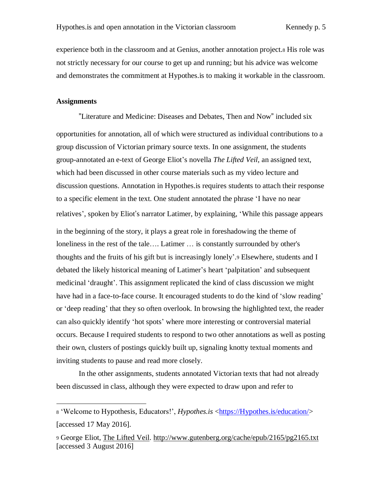experience both in the classroom and at Genius, another annotation project.<sup>8</sup> His role was not strictly necessary for our course to get up and running; but his advice was welcome and demonstrates the commitment at Hypothes.is to making it workable in the classroom.

## **Assignments**

"Literature and Medicine: Diseases and Debates, Then and Now" included six opportunities for annotation, all of which were structured as individual contributions to a group discussion of Victorian primary source texts. In one assignment, the students group-annotated an e-text of George Eliot's novella *The Lifted Veil*, an assigned text, which had been discussed in other course materials such as my video lecture and discussion questions. Annotation in Hypothes.is requires students to attach their response to a specific element in the text. One student annotated the phrase 'I have no near relatives', spoken by Eliot's narrator Latimer, by explaining, 'While this passage appears in the beginning of the story, it plays a great role in foreshadowing the theme of loneliness in the rest of the tale…. Latimer … is constantly surrounded by other's thoughts and the fruits of his gift but is increasingly lonely'.<sup>9</sup> Elsewhere, students and I debated the likely historical meaning of Latimer's heart 'palpitation' and subsequent medicinal 'draught'. This assignment replicated the kind of class discussion we might have had in a face-to-face course. It encouraged students to do the kind of 'slow reading' or 'deep reading' that they so often overlook. In browsing the highlighted text, the reader can also quickly identify 'hot spots' where more interesting or controversial material occurs. Because I required students to respond to two other annotations as well as posting their own, clusters of postings quickly built up, signaling knotty textual moments and inviting students to pause and read more closely.

In the other assignments, students annotated Victorian texts that had not already been discussed in class, although they were expected to draw upon and refer to

<sup>8</sup> 'Welcome to Hypothesis, Educators!', *Hypothes.is* [<https://Hypothes.is/education/>](https://hypothes.is/education/)

<sup>[</sup>accessed 17 May 2016].

<sup>9</sup> George Eliot, The Lifted Veil. <http://www.gutenberg.org/cache/epub/2165/pg2165.txt> [accessed 3 August 2016]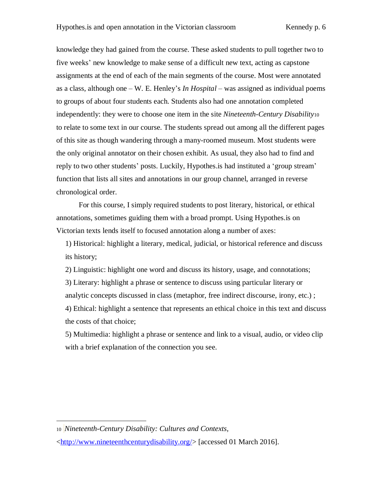knowledge they had gained from the course. These asked students to pull together two to five weeks' new knowledge to make sense of a difficult new text, acting as capstone assignments at the end of each of the main segments of the course. Most were annotated as a class, although one – W. E. Henley's *In Hospital* – was assigned as individual poems to groups of about four students each. Students also had one annotation completed independently: they were to choose one item in the site *Nineteenth-Century Disability*<sup>10</sup> to relate to some text in our course. The students spread out among all the different pages of this site as though wandering through a many-roomed museum. Most students were the only original annotator on their chosen exhibit. As usual, they also had to find and reply to two other students' posts. Luckily, Hypothes.is had instituted a 'group stream' function that lists all sites and annotations in our group channel, arranged in reverse chronological order.

For this course, I simply required students to post literary, historical, or ethical annotations, sometimes guiding them with a broad prompt. Using Hypothes.is on Victorian texts lends itself to focused annotation along a number of axes:

1) Historical: highlight a literary, medical, judicial, or historical reference and discuss its history;

2) Linguistic: highlight one word and discuss its history, usage, and connotations; 3) Literary: highlight a phrase or sentence to discuss using particular literary or analytic concepts discussed in class (metaphor, free indirect discourse, irony, etc.) ; 4) Ethical: highlight a sentence that represents an ethical choice in this text and discuss the costs of that choice;

5) Multimedia: highlight a phrase or sentence and link to a visual, audio, or video clip with a brief explanation of the connection you see.

<sup>10</sup> *Nineteenth-Century Disability: Cultures and Contexts,*

[<sup>&</sup>lt;http://www.nineteenthcenturydisability.org/>](http://www.nineteenthcenturydisability.org/) [accessed 01 March 2016].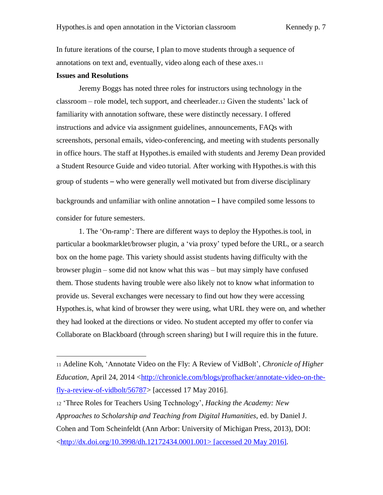In future iterations of the course, I plan to move students through a sequence of annotations on text and, eventually, video along each of these axes.<sup>11</sup>

## **Issues and Resolutions**

 $\overline{a}$ 

Jeremy Boggs has noted three roles for instructors using technology in the classroom – role model, tech support, and cheerleader.<sup>12</sup> Given the students' lack of familiarity with annotation software, these were distinctly necessary. I offered instructions and advice via assignment guidelines, announcements, FAQs with screenshots, personal emails, video-conferencing, and meeting with students personally in office hours. The staff at Hypothes.is emailed with students and Jeremy Dean provided a Student Resource Guide and video tutorial. After working with Hypothes.is with this group of students – who were generally well motivated but from diverse disciplinary backgrounds and unfamiliar with online annotation – I have compiled some lessons to consider for future semesters.

1. The 'On-ramp': There are different ways to deploy the Hypothes.is tool, in particular a bookmarklet/browser plugin, a 'via proxy' typed before the URL, or a search box on the home page. This variety should assist students having difficulty with the browser plugin – some did not know what this was – but may simply have confused them. Those students having trouble were also likely not to know what information to provide us. Several exchanges were necessary to find out how they were accessing Hypothes.is, what kind of browser they were using, what URL they were on, and whether they had looked at the directions or video. No student accepted my offer to confer via Collaborate on Blackboard (through screen sharing) but I will require this in the future.

<sup>11</sup> Adeline Koh, 'Annotate Video on the Fly: A Review of VidBolt', *Chronicle of Higher Education*, April 24, 2014 [<http://chronicle.com/blogs/profhacker/annotate-video-on-the](http://chronicle.com/blogs/profhacker/annotate-video-on-the-fly-a-review-of-vidbolt/56787)[fly-a-review-of-vidbolt/56787>](http://chronicle.com/blogs/profhacker/annotate-video-on-the-fly-a-review-of-vidbolt/56787) [accessed 17 May 2016].

<sup>12</sup> 'Three Roles for Teachers Using Technology', *Hacking the Academy: New Approaches to Scholarship and Teaching from Digital Humanities*, ed. by Daniel J. Cohen and Tom Scheinfeldt (Ann Arbor: University of Michigan Press, 2013), DOI: [<http://dx.doi.org/10.3998/dh.12172434.0001.001>](http://dx.doi.org/10.3998/dh.12172434.0001.001) [accessed 20 May 2016].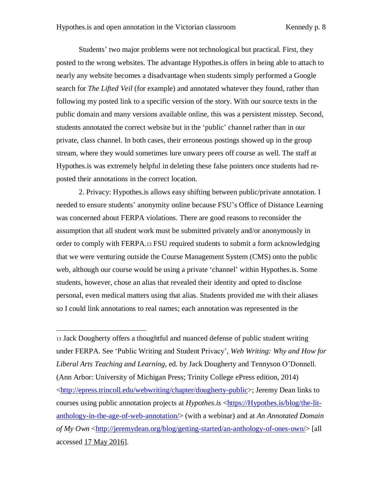Students' two major problems were not technological but practical. First, they posted to the wrong websites. The advantage Hypothes.is offers in being able to attach to nearly any website becomes a disadvantage when students simply performed a Google search for *The Lifted Veil* (for example) and annotated whatever they found, rather than following my posted link to a specific version of the story. With our source texts in the public domain and many versions available online, this was a persistent misstep. Second, students annotated the correct website but in the 'public' channel rather than in our private, class channel. In both cases, their erroneous postings showed up in the group stream, where they would sometimes lure unwary peers off course as well. The staff at Hypothes.is was extremely helpful in deleting these false pointers once students had reposted their annotations in the correct location.

2. Privacy: Hypothes.is allows easy shifting between public/private annotation. I needed to ensure students' anonymity online because FSU's Office of Distance Learning was concerned about FERPA violations. There are good reasons to reconsider the assumption that all student work must be submitted privately and/or anonymously in order to comply with FERPA.<sup>13</sup> FSU required students to submit a form acknowledging that we were venturing outside the Course Management System (CMS) onto the public web, although our course would be using a private 'channel' within Hypothes.is. Some students, however, chose an alias that revealed their identity and opted to disclose personal, even medical matters using that alias. Students provided me with their aliases so I could link annotations to real names; each annotation was represented in the

<sup>13</sup> Jack Dougherty offers a thoughtful and nuanced defense of public student writing under FERPA. See 'Public Writing and Student Privacy', *Web Writing: Why and How for Liberal Arts Teaching and Learning*, ed. by Jack Dougherty and Tennyson O'Donnell. (Ann Arbor: University of Michigan Press; Trinity College ePress edition, 2014) [<http://epress.trincoll.edu/webwriting/chapter/dougherty-public>](http://epress.trincoll.edu/webwriting/chapter/dougherty-public); Jeremy Dean links to courses using public annotation projects at *Hypothes.is* [<https://Hypothes.is/blog/the-lit](https://hypothes.is/blog/the-lit-anthology-in-the-age-of-web-annotation/)[anthology-in-the-age-of-web-annotation/>](https://hypothes.is/blog/the-lit-anthology-in-the-age-of-web-annotation/) (with a webinar) and at *An Annotated Domain of My Own* [<http://jeremydean.org/blog/getting-started/an-anthology-of-ones-own/>](http://jeremydean.org/blog/getting-started/an-anthology-of-ones-own/) [all accessed 17 May 2016].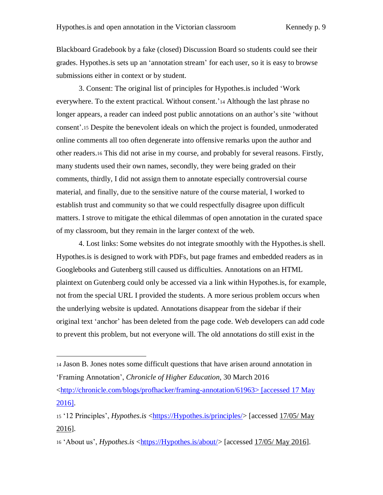Blackboard Gradebook by a fake (closed) Discussion Board so students could see their grades. Hypothes.is sets up an 'annotation stream' for each user, so it is easy to browse submissions either in context or by student.

3. Consent: The original list of principles for Hypothes.is included 'Work everywhere. To the extent practical. Without consent.'<sup>14</sup> Although the last phrase no longer appears, a reader can indeed post public annotations on an author's site 'without consent'.<sup>15</sup> Despite the benevolent ideals on which the project is founded, unmoderated online comments all too often degenerate into offensive remarks upon the author and other readers.<sup>16</sup> This did not arise in my course, and probably for several reasons. Firstly, many students used their own names, secondly, they were being graded on their comments, thirdly, I did not assign them to annotate especially controversial course material, and finally, due to the sensitive nature of the course material, I worked to establish trust and community so that we could respectfully disagree upon difficult matters. I strove to mitigate the ethical dilemmas of open annotation in the curated space of my classroom, but they remain in the larger context of the web.

4. Lost links: Some websites do not integrate smoothly with the Hypothes.is shell. Hypothes.is is designed to work with PDFs, but page frames and embedded readers as in Googlebooks and Gutenberg still caused us difficulties. Annotations on an HTML plaintext on Gutenberg could only be accessed via a link within Hypothes.is, for example, not from the special URL I provided the students. A more serious problem occurs when the underlying website is updated. Annotations disappear from the sidebar if their original text 'anchor' has been deleted from the page code. Web developers can add code to prevent this problem, but not everyone will. The old annotations do still exist in the

<sup>14</sup> Jason B. Jones notes some difficult questions that have arisen around annotation in 'Framing Annotation', *Chronicle of Higher Education,* 30 March 2016 [<http://chronicle.com/blogs/profhacker/framing-annotation/61963>](http://chronicle.com/blogs/profhacker/framing-annotation/61963) [accessed 17 May 2016].

<sup>15</sup> '12 Principles', *Hypothes.is* [<https://Hypothes.is/principles/>](https://hypothes.is/principles/) [accessed 17/05/ May 2016].

<sup>16</sup> 'About us', *Hypothes.is* [<https://Hypothes.is/about/>](https://hypothes.is/about/) [accessed 17/05/ May 2016].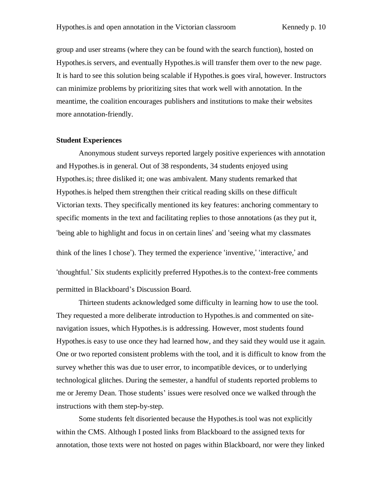group and user streams (where they can be found with the search function), hosted on Hypothes.is servers, and eventually Hypothes.is will transfer them over to the new page. It is hard to see this solution being scalable if Hypothes.is goes viral, however. Instructors can minimize problems by prioritizing sites that work well with annotation. In the meantime, the coalition encourages publishers and institutions to make their websites more annotation-friendly.

## **Student Experiences**

Anonymous student surveys reported largely positive experiences with annotation and Hypothes.is in general. Out of 38 respondents, 34 students enjoyed using Hypothes.is; three disliked it; one was ambivalent. Many students remarked that Hypothes.is helped them strengthen their critical reading skills on these difficult Victorian texts. They specifically mentioned its key features: anchoring commentary to specific moments in the text and facilitating replies to those annotations (as they put it, 'being able to highlight and focus in on certain lines' and 'seeing what my classmates think of the lines I chose'). They termed the experience 'inventive,' 'interactive,' and 'thoughtful.' Six students explicitly preferred Hypothes.is to the context-free comments permitted in Blackboard's Discussion Board.

Thirteen students acknowledged some difficulty in learning how to use the tool. They requested a more deliberate introduction to Hypothes.is and commented on sitenavigation issues, which Hypothes.is is addressing. However, most students found Hypothes.is easy to use once they had learned how, and they said they would use it again. One or two reported consistent problems with the tool, and it is difficult to know from the survey whether this was due to user error, to incompatible devices, or to underlying technological glitches. During the semester, a handful of students reported problems to me or Jeremy Dean. Those students' issues were resolved once we walked through the instructions with them step-by-step.

Some students felt disoriented because the Hypothes.is tool was not explicitly within the CMS. Although I posted links from Blackboard to the assigned texts for annotation, those texts were not hosted on pages within Blackboard, nor were they linked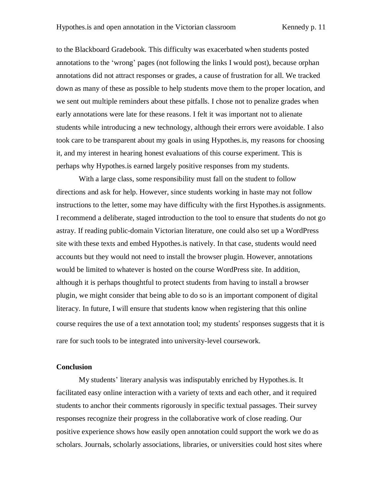to the Blackboard Gradebook. This difficulty was exacerbated when students posted annotations to the 'wrong' pages (not following the links I would post), because orphan annotations did not attract responses or grades, a cause of frustration for all. We tracked down as many of these as possible to help students move them to the proper location, and we sent out multiple reminders about these pitfalls. I chose not to penalize grades when early annotations were late for these reasons. I felt it was important not to alienate students while introducing a new technology, although their errors were avoidable. I also took care to be transparent about my goals in using Hypothes.is, my reasons for choosing it, and my interest in hearing honest evaluations of this course experiment. This is perhaps why Hypothes.is earned largely positive responses from my students.

With a large class, some responsibility must fall on the student to follow directions and ask for help. However, since students working in haste may not follow instructions to the letter, some may have difficulty with the first Hypothes.is assignments. I recommend a deliberate, staged introduction to the tool to ensure that students do not go astray. If reading public-domain Victorian literature, one could also set up a WordPress site with these texts and embed Hypothes.is natively. In that case, students would need accounts but they would not need to install the browser plugin. However, annotations would be limited to whatever is hosted on the course WordPress site. In addition, although it is perhaps thoughtful to protect students from having to install a browser plugin, we might consider that being able to do so is an important component of digital literacy. In future, I will ensure that students know when registering that this online course requires the use of a text annotation tool; my students' responses suggests that it is rare for such tools to be integrated into university-level coursework.

## **Conclusion**

My students' literary analysis was indisputably enriched by Hypothes.is. It facilitated easy online interaction with a variety of texts and each other, and it required students to anchor their comments rigorously in specific textual passages. Their survey responses recognize their progress in the collaborative work of close reading. Our positive experience shows how easily open annotation could support the work we do as scholars. Journals, scholarly associations, libraries, or universities could host sites where